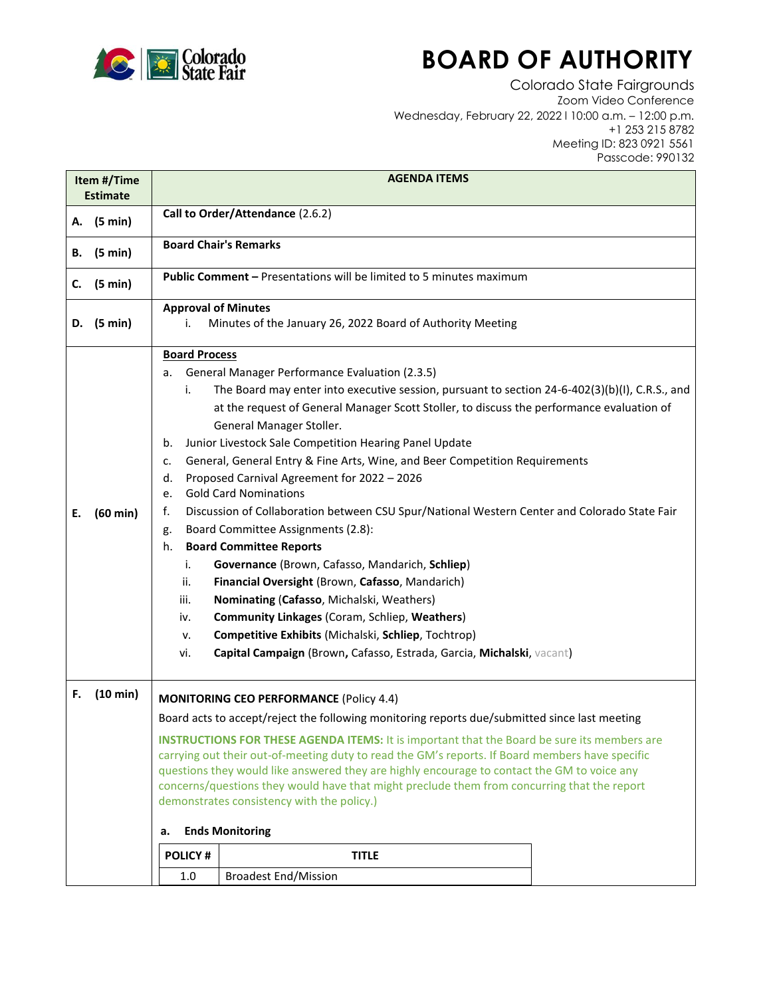

## **BOARD OF AUTHORITY**

Colorado State Fairgrounds Zoom Video Conference Wednesday, February 22, 2022 l 10:00 a.m. – 12:00 p.m. +1 253 215 8782 Meeting ID: 823 0921 5561 Passcode: 990132

| Item #/Time<br><b>Estimate</b> |          | <b>AGENDA ITEMS</b>                                                                                                                                                                                                                                                                                                                                                                                                                                                                                                                                                                                                                                                                                                                                                                                                                                                                                                                                                                                                                                                                                                                  |
|--------------------------------|----------|--------------------------------------------------------------------------------------------------------------------------------------------------------------------------------------------------------------------------------------------------------------------------------------------------------------------------------------------------------------------------------------------------------------------------------------------------------------------------------------------------------------------------------------------------------------------------------------------------------------------------------------------------------------------------------------------------------------------------------------------------------------------------------------------------------------------------------------------------------------------------------------------------------------------------------------------------------------------------------------------------------------------------------------------------------------------------------------------------------------------------------------|
| А.                             | (5 min)  | Call to Order/Attendance (2.6.2)                                                                                                                                                                                                                                                                                                                                                                                                                                                                                                                                                                                                                                                                                                                                                                                                                                                                                                                                                                                                                                                                                                     |
| В.                             | (5 min)  | <b>Board Chair's Remarks</b>                                                                                                                                                                                                                                                                                                                                                                                                                                                                                                                                                                                                                                                                                                                                                                                                                                                                                                                                                                                                                                                                                                         |
| c.                             | (5 min)  | <b>Public Comment - Presentations will be limited to 5 minutes maximum</b>                                                                                                                                                                                                                                                                                                                                                                                                                                                                                                                                                                                                                                                                                                                                                                                                                                                                                                                                                                                                                                                           |
| D.                             | (5 min)  | <b>Approval of Minutes</b><br>Minutes of the January 26, 2022 Board of Authority Meeting<br>i.                                                                                                                                                                                                                                                                                                                                                                                                                                                                                                                                                                                                                                                                                                                                                                                                                                                                                                                                                                                                                                       |
| Е.                             | (60 min) | <b>Board Process</b><br>General Manager Performance Evaluation (2.3.5)<br>а.<br>The Board may enter into executive session, pursuant to section 24-6-402(3)(b)(I), C.R.S., and<br>i.<br>at the request of General Manager Scott Stoller, to discuss the performance evaluation of<br>General Manager Stoller.<br>Junior Livestock Sale Competition Hearing Panel Update<br>b.<br>General, General Entry & Fine Arts, Wine, and Beer Competition Requirements<br>c.<br>Proposed Carnival Agreement for 2022 - 2026<br>d.<br><b>Gold Card Nominations</b><br>e.<br>f.<br>Discussion of Collaboration between CSU Spur/National Western Center and Colorado State Fair<br>Board Committee Assignments (2.8):<br>g.<br><b>Board Committee Reports</b><br>h.<br>Governance (Brown, Cafasso, Mandarich, Schliep)<br>i.<br>Financial Oversight (Brown, Cafasso, Mandarich)<br>ii.<br>iii.<br>Nominating (Cafasso, Michalski, Weathers)<br>Community Linkages (Coram, Schliep, Weathers)<br>iv.<br>Competitive Exhibits (Michalski, Schliep, Tochtrop)<br>v.<br>Capital Campaign (Brown, Cafasso, Estrada, Garcia, Michalski, vacant)<br>vi. |
| F.                             | (10 min) | <b>MONITORING CEO PERFORMANCE (Policy 4.4)</b><br>Board acts to accept/reject the following monitoring reports due/submitted since last meeting                                                                                                                                                                                                                                                                                                                                                                                                                                                                                                                                                                                                                                                                                                                                                                                                                                                                                                                                                                                      |
|                                |          | <b>INSTRUCTIONS FOR THESE AGENDA ITEMS:</b> It is important that the Board be sure its members are<br>carrying out their out-of-meeting duty to read the GM's reports. If Board members have specific<br>questions they would like answered they are highly encourage to contact the GM to voice any<br>concerns/questions they would have that might preclude them from concurring that the report<br>demonstrates consistency with the policy.)                                                                                                                                                                                                                                                                                                                                                                                                                                                                                                                                                                                                                                                                                    |
|                                |          | <b>Ends Monitoring</b><br>а.                                                                                                                                                                                                                                                                                                                                                                                                                                                                                                                                                                                                                                                                                                                                                                                                                                                                                                                                                                                                                                                                                                         |
|                                |          | <b>POLICY#</b><br><b>TITLE</b>                                                                                                                                                                                                                                                                                                                                                                                                                                                                                                                                                                                                                                                                                                                                                                                                                                                                                                                                                                                                                                                                                                       |
|                                |          | <b>Broadest End/Mission</b><br>1.0                                                                                                                                                                                                                                                                                                                                                                                                                                                                                                                                                                                                                                                                                                                                                                                                                                                                                                                                                                                                                                                                                                   |